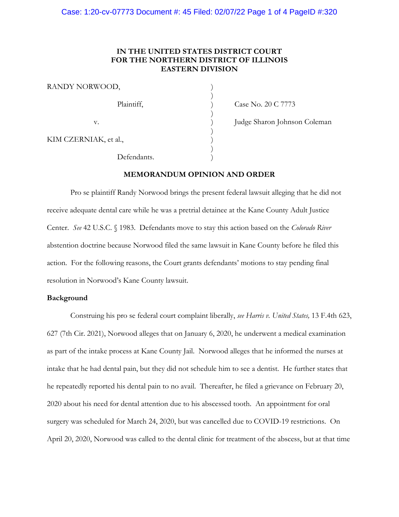# **IN THE UNITED STATES DISTRICT COURT FOR THE NORTHERN DISTRICT OF ILLINOIS EASTERN DIVISION**

| RANDY NORWOOD,        |  |
|-----------------------|--|
| Plaintiff,            |  |
| v.                    |  |
| KIM CZERNIAK, et al., |  |
| Defendants.           |  |

Case No. 20 C 7773

Judge Sharon Johnson Coleman

**MEMORANDUM OPINION AND ORDER**

Pro se plaintiff Randy Norwood brings the present federal lawsuit alleging that he did not receive adequate dental care while he was a pretrial detainee at the Kane County Adult Justice Center. *See* 42 U.S.C. § 1983. Defendants move to stay this action based on the *Colorado River* abstention doctrine because Norwood filed the same lawsuit in Kane County before he filed this action. For the following reasons, the Court grants defendants' motions to stay pending final resolution in Norwood's Kane County lawsuit.

#### **Background**

Construing his pro se federal court complaint liberally, *see Harris v. United States,* 13 F.4th 623, 627 (7th Cir. 2021), Norwood alleges that on January 6, 2020, he underwent a medical examination as part of the intake process at Kane County Jail. Norwood alleges that he informed the nurses at intake that he had dental pain, but they did not schedule him to see a dentist. He further states that he repeatedly reported his dental pain to no avail. Thereafter, he filed a grievance on February 20, 2020 about his need for dental attention due to his abscessed tooth. An appointment for oral surgery was scheduled for March 24, 2020, but was cancelled due to COVID-19 restrictions. On April 20, 2020, Norwood was called to the dental clinic for treatment of the abscess, but at that time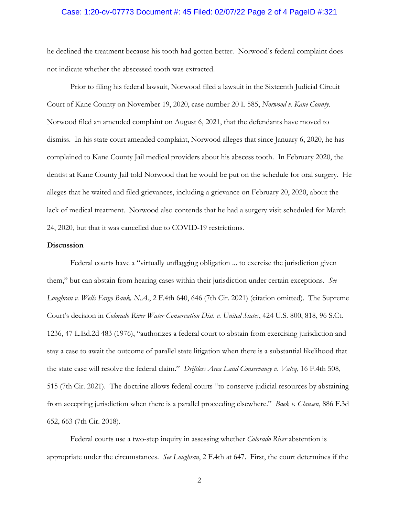## Case: 1:20-cv-07773 Document #: 45 Filed: 02/07/22 Page 2 of 4 PageID #:321

he declined the treatment because his tooth had gotten better. Norwood's federal complaint does not indicate whether the abscessed tooth was extracted.

Prior to filing his federal lawsuit, Norwood filed a lawsuit in the Sixteenth Judicial Circuit Court of Kane County on November 19, 2020, case number 20 L 585, *Norwood v. Kane County*. Norwood filed an amended complaint on August 6, 2021, that the defendants have moved to dismiss. In his state court amended complaint, Norwood alleges that since January 6, 2020, he has complained to Kane County Jail medical providers about his abscess tooth. In February 2020, the dentist at Kane County Jail told Norwood that he would be put on the schedule for oral surgery. He alleges that he waited and filed grievances, including a grievance on February 20, 2020, about the lack of medical treatment. Norwood also contends that he had a surgery visit scheduled for March 24, 2020, but that it was cancelled due to COVID-19 restrictions.

#### **Discussion**

Federal courts have a "virtually unflagging obligation ... to exercise the jurisdiction given them," but can abstain from hearing cases within their jurisdiction under certain exceptions. *See Loughran v. Wells Fargo Bank, N.A*., 2 F.4th 640, 646 (7th Cir. 2021) (citation omitted). The Supreme Court's decision in *Colorado River Water Conservation Dist. v. United States*, 424 U.S. 800, 818, 96 S.Ct. 1236, 47 L.Ed.2d 483 (1976), "authorizes a federal court to abstain from exercising jurisdiction and stay a case to await the outcome of parallel state litigation when there is a substantial likelihood that the state case will resolve the federal claim." *Driftless Area Land Conservancy v. Valcq*, 16 F.4th 508, 515 (7th Cir. 2021). The doctrine allows federal courts "to conserve judicial resources by abstaining from accepting jurisdiction when there is a parallel proceeding elsewhere." *Baek v. Clausen*, 886 F.3d 652, 663 (7th Cir. 2018).

Federal courts use a two-step inquiry in assessing whether *Colorado River* abstention is appropriate under the circumstances. *See Loughran*, 2 F.4th at 647. First, the court determines if the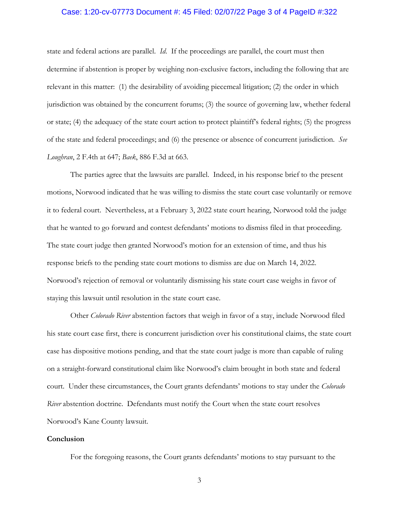## Case: 1:20-cv-07773 Document #: 45 Filed: 02/07/22 Page 3 of 4 PageID #:322

state and federal actions are parallel. *Id*. If the proceedings are parallel, the court must then determine if abstention is proper by weighing non-exclusive factors, including the following that are relevant in this matter: (1) the desirability of avoiding piecemeal litigation; (2) the order in which jurisdiction was obtained by the concurrent forums; (3) the source of governing law, whether federal or state; (4) the adequacy of the state court action to protect plaintiff's federal rights; (5) the progress of the state and federal proceedings; and (6) the presence or absence of concurrent jurisdiction. *See Loughran*, 2 F.4th at 647; *Baek*, 886 F.3d at 663.

The parties agree that the lawsuits are parallel. Indeed, in his response brief to the present motions, Norwood indicated that he was willing to dismiss the state court case voluntarily or remove it to federal court. Nevertheless, at a February 3, 2022 state court hearing, Norwood told the judge that he wanted to go forward and contest defendants' motions to dismiss filed in that proceeding. The state court judge then granted Norwood's motion for an extension of time, and thus his response briefs to the pending state court motions to dismiss are due on March 14, 2022. Norwood's rejection of removal or voluntarily dismissing his state court case weighs in favor of staying this lawsuit until resolution in the state court case.

Other *Colorado River* abstention factors that weigh in favor of a stay, include Norwood filed his state court case first, there is concurrent jurisdiction over his constitutional claims, the state court case has dispositive motions pending, and that the state court judge is more than capable of ruling on a straight-forward constitutional claim like Norwood's claim brought in both state and federal court. Under these circumstances, the Court grants defendants' motions to stay under the *Colorado River* abstention doctrine. Defendants must notify the Court when the state court resolves Norwood's Kane County lawsuit.

#### **Conclusion**

For the foregoing reasons, the Court grants defendants' motions to stay pursuant to the

3